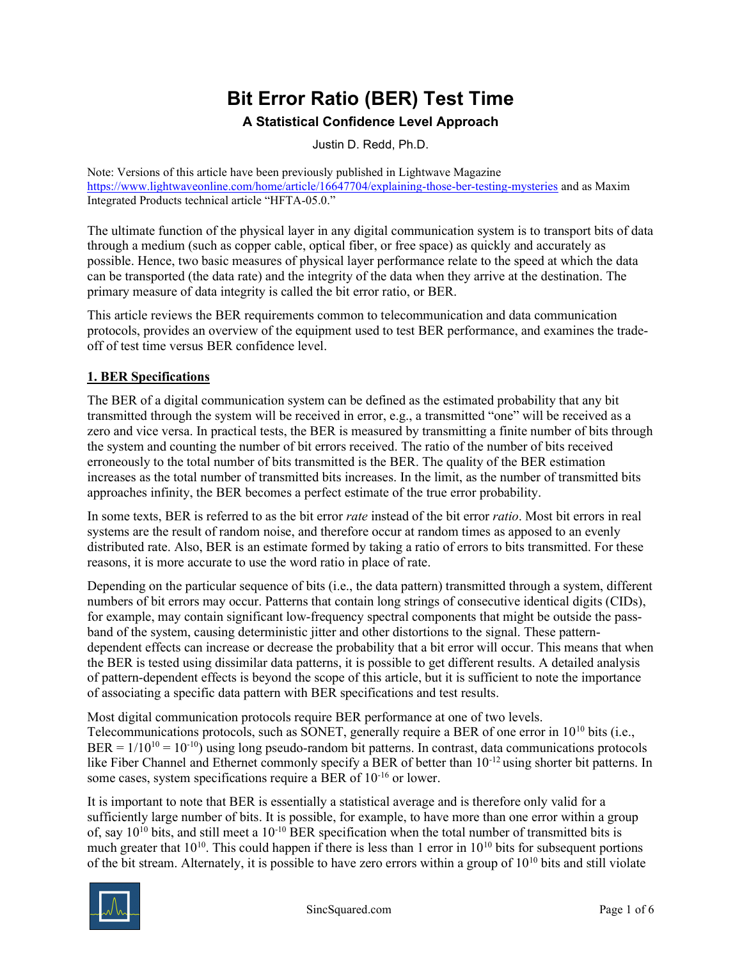# Bit Error Ratio (BER) Test Time

#### A Statistical Confidence Level Approach

Justin D. Redd, Ph.D.

Note: Versions of this article have been previously published in Lightwave Magazine https://www.lightwaveonline.com/home/article/16647704/explaining-those-ber-testing-mysteries and as Maxim Integrated Products technical article "HFTA-05.0."

The ultimate function of the physical layer in any digital communication system is to transport bits of data through a medium (such as copper cable, optical fiber, or free space) as quickly and accurately as possible. Hence, two basic measures of physical layer performance relate to the speed at which the data can be transported (the data rate) and the integrity of the data when they arrive at the destination. The primary measure of data integrity is called the bit error ratio, or BER.

This article reviews the BER requirements common to telecommunication and data communication protocols, provides an overview of the equipment used to test BER performance, and examines the tradeoff of test time versus BER confidence level.

### 1. BER Specifications

The BER of a digital communication system can be defined as the estimated probability that any bit transmitted through the system will be received in error, e.g., a transmitted "one" will be received as a zero and vice versa. In practical tests, the BER is measured by transmitting a finite number of bits through the system and counting the number of bit errors received. The ratio of the number of bits received erroneously to the total number of bits transmitted is the BER. The quality of the BER estimation increases as the total number of transmitted bits increases. In the limit, as the number of transmitted bits approaches infinity, the BER becomes a perfect estimate of the true error probability.

In some texts, BER is referred to as the bit error *rate* instead of the bit error *ratio*. Most bit errors in real systems are the result of random noise, and therefore occur at random times as apposed to an evenly distributed rate. Also, BER is an estimate formed by taking a ratio of errors to bits transmitted. For these reasons, it is more accurate to use the word ratio in place of rate.

Depending on the particular sequence of bits (i.e., the data pattern) transmitted through a system, different numbers of bit errors may occur. Patterns that contain long strings of consecutive identical digits (CIDs), for example, may contain significant low-frequency spectral components that might be outside the passband of the system, causing deterministic jitter and other distortions to the signal. These patterndependent effects can increase or decrease the probability that a bit error will occur. This means that when the BER is tested using dissimilar data patterns, it is possible to get different results. A detailed analysis of pattern-dependent effects is beyond the scope of this article, but it is sufficient to note the importance of associating a specific data pattern with BER specifications and test results.

Most digital communication protocols require BER performance at one of two levels. Telecommunications protocols, such as SONET, generally require a BER of one error in  $10^{10}$  bits (i.e.,  $BER = 1/10^{10} = 10^{-10}$ ) using long pseudo-random bit patterns. In contrast, data communications protocols like Fiber Channel and Ethernet commonly specify a BER of better than  $10^{-12}$  using shorter bit patterns. In some cases, system specifications require a BER of 10-16 or lower.

It is important to note that BER is essentially a statistical average and is therefore only valid for a sufficiently large number of bits. It is possible, for example, to have more than one error within a group of, say  $10^{10}$  bits, and still meet a  $10^{-10}$  BER specification when the total number of transmitted bits is much greater that  $10^{10}$ . This could happen if there is less than 1 error in  $10^{10}$  bits for subsequent portions of the bit stream. Alternately, it is possible to have zero errors within a group of  $10^{10}$  bits and still violate

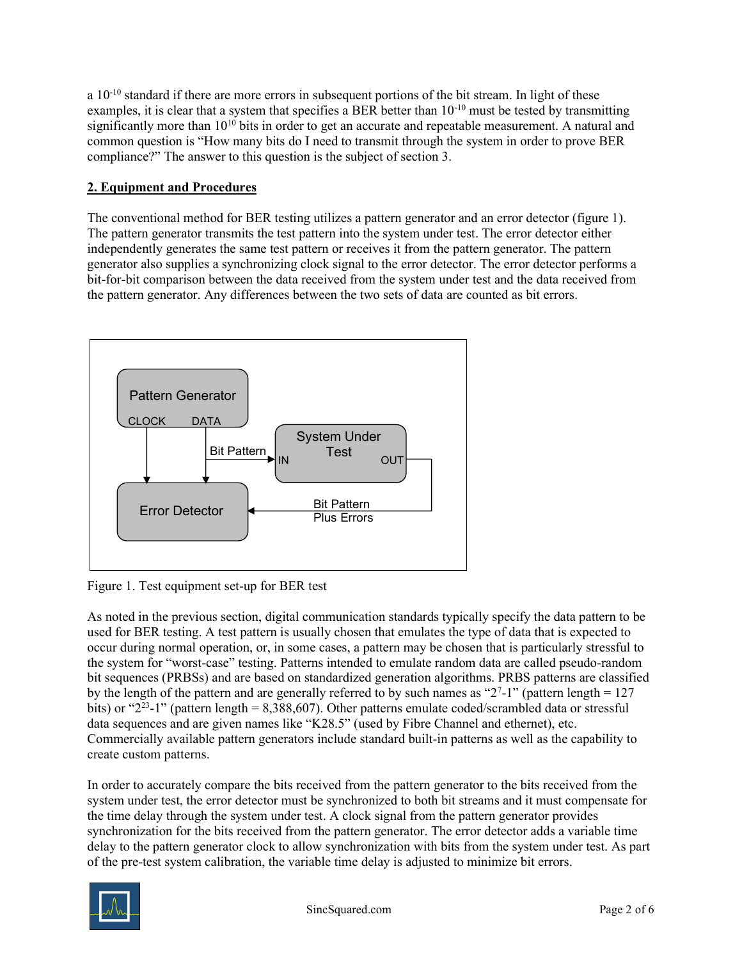a  $10^{-10}$  standard if there are more errors in subsequent portions of the bit stream. In light of these examples, it is clear that a system that specifies a BER better than  $10^{-10}$  must be tested by transmitting significantly more than  $10^{10}$  bits in order to get an accurate and repeatable measurement. A natural and common question is "How many bits do I need to transmit through the system in order to prove BER compliance?" The answer to this question is the subject of section 3.

### 2. Equipment and Procedures

The conventional method for BER testing utilizes a pattern generator and an error detector (figure 1). The pattern generator transmits the test pattern into the system under test. The error detector either independently generates the same test pattern or receives it from the pattern generator. The pattern generator also supplies a synchronizing clock signal to the error detector. The error detector performs a bit-for-bit comparison between the data received from the system under test and the data received from the pattern generator. Any differences between the two sets of data are counted as bit errors.



Figure 1. Test equipment set-up for BER test

As noted in the previous section, digital communication standards typically specify the data pattern to be used for BER testing. A test pattern is usually chosen that emulates the type of data that is expected to occur during normal operation, or, in some cases, a pattern may be chosen that is particularly stressful to the system for "worst-case" testing. Patterns intended to emulate random data are called pseudo-random bit sequences (PRBSs) and are based on standardized generation algorithms. PRBS patterns are classified by the length of the pattern and are generally referred to by such names as " $2^7$ -1" (pattern length = 127 bits) or " $2^{23}$ -1" (pattern length = 8,388,607). Other patterns emulate coded/scrambled data or stressful data sequences and are given names like "K28.5" (used by Fibre Channel and ethernet), etc. Commercially available pattern generators include standard built-in patterns as well as the capability to create custom patterns.

In order to accurately compare the bits received from the pattern generator to the bits received from the system under test, the error detector must be synchronized to both bit streams and it must compensate for the time delay through the system under test. A clock signal from the pattern generator provides synchronization for the bits received from the pattern generator. The error detector adds a variable time delay to the pattern generator clock to allow synchronization with bits from the system under test. As part of the pre-test system calibration, the variable time delay is adjusted to minimize bit errors.

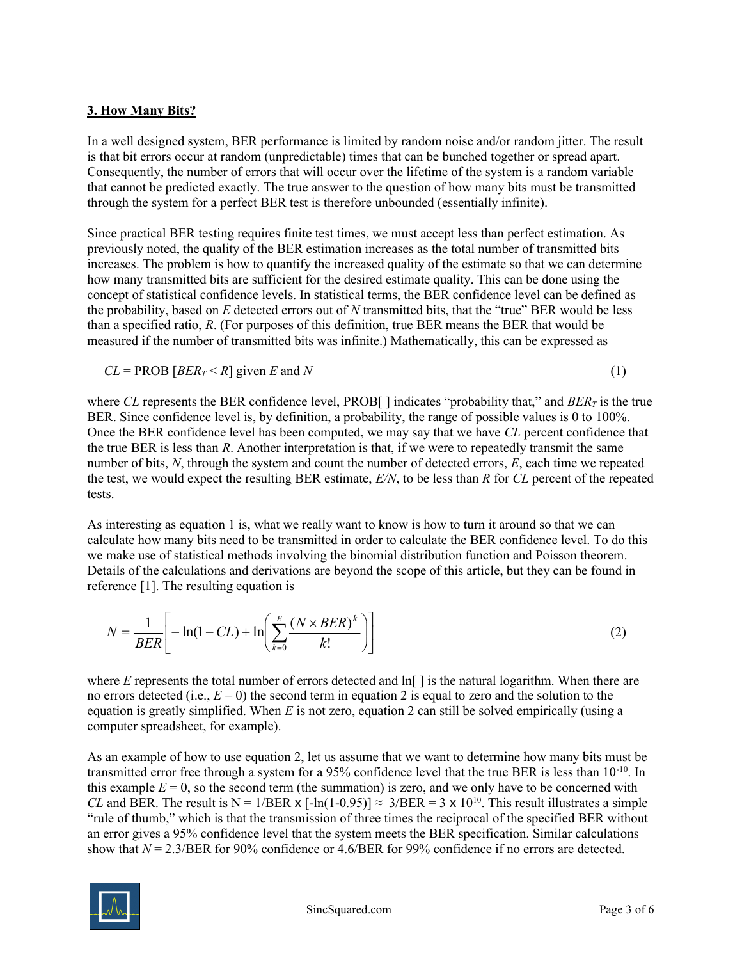#### 3. How Many Bits?

In a well designed system, BER performance is limited by random noise and/or random jitter. The result is that bit errors occur at random (unpredictable) times that can be bunched together or spread apart. Consequently, the number of errors that will occur over the lifetime of the system is a random variable that cannot be predicted exactly. The true answer to the question of how many bits must be transmitted through the system for a perfect BER test is therefore unbounded (essentially infinite).

Since practical BER testing requires finite test times, we must accept less than perfect estimation. As previously noted, the quality of the BER estimation increases as the total number of transmitted bits increases. The problem is how to quantify the increased quality of the estimate so that we can determine how many transmitted bits are sufficient for the desired estimate quality. This can be done using the concept of statistical confidence levels. In statistical terms, the BER confidence level can be defined as the probability, based on  $E$  detected errors out of  $N$  transmitted bits, that the "true" BER would be less than a specified ratio, R. (For purposes of this definition, true BER means the BER that would be measured if the number of transmitted bits was infinite.) Mathematically, this can be expressed as

$$
CL = PROB [BER_T < R] \text{ given } E \text{ and } N \tag{1}
$$

where CL represents the BER confidence level, PROB[] indicates "probability that," and  $BER<sub>T</sub>$  is the true BER. Since confidence level is, by definition, a probability, the range of possible values is 0 to 100%. Once the BER confidence level has been computed, we may say that we have CL percent confidence that the true BER is less than R. Another interpretation is that, if we were to repeatedly transmit the same number of bits,  $N$ , through the system and count the number of detected errors,  $E$ , each time we repeated the test, we would expect the resulting BER estimate,  $E/N$ , to be less than R for CL percent of the repeated tests.

As interesting as equation 1 is, what we really want to know is how to turn it around so that we can calculate how many bits need to be transmitted in order to calculate the BER confidence level. To do this we make use of statistical methods involving the binomial distribution function and Poisson theorem. Details of the calculations and derivations are beyond the scope of this article, but they can be found in reference [1]. The resulting equation is

$$
N = \frac{1}{BER} \left[ -\ln(1 - CL) + \ln\left(\sum_{k=0}^{E} \frac{(N \times BER)^k}{k!}\right) \right]
$$
 (2)

where  $E$  represents the total number of errors detected and  $\ln[\ ]$  is the natural logarithm. When there are no errors detected (i.e.,  $E = 0$ ) the second term in equation 2 is equal to zero and the solution to the equation is greatly simplified. When  $E$  is not zero, equation 2 can still be solved empirically (using a computer spreadsheet, for example).

As an example of how to use equation 2, let us assume that we want to determine how many bits must be transmitted error free through a system for a 95% confidence level that the true BER is less than  $10^{-10}$ . In this example  $E = 0$ , so the second term (the summation) is zero, and we only have to be concerned with CL and BER. The result is N = 1/BER x [-ln(1-0.95)]  $\approx 3/BER = 3 \times 10^{10}$ . This result illustrates a simple "rule of thumb," which is that the transmission of three times the reciprocal of the specified BER without an error gives a 95% confidence level that the system meets the BER specification. Similar calculations show that  $N = 2.3/BER$  for 90% confidence or 4.6/BER for 99% confidence if no errors are detected.

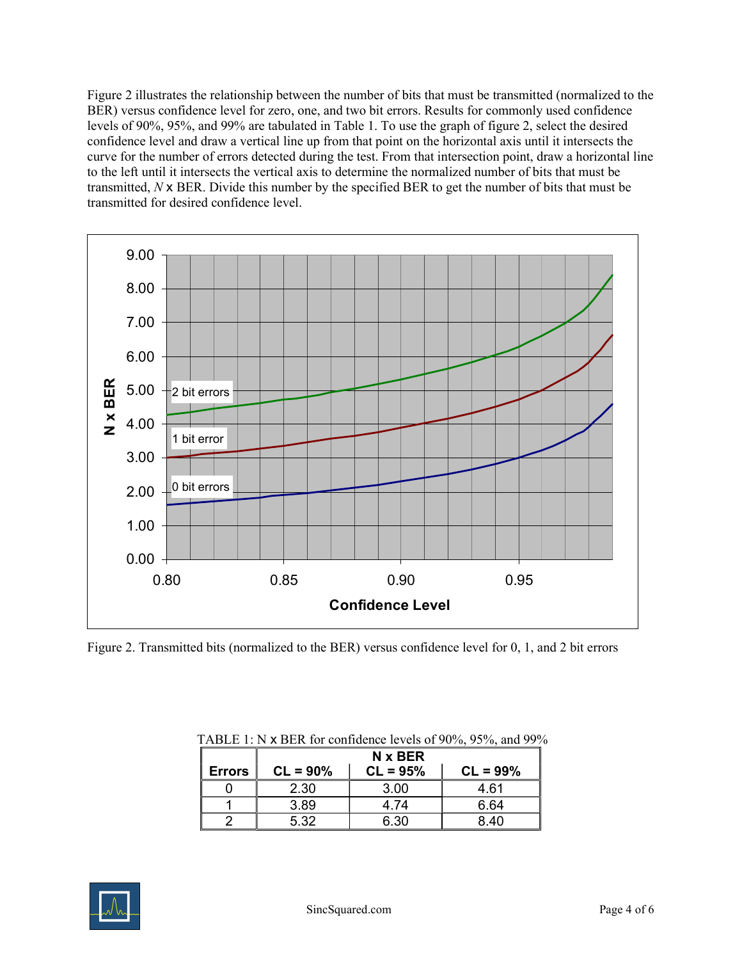Figure 2 illustrates the relationship between the number of bits that must be transmitted (normalized to the BER) versus confidence level for zero, one, and two bit errors. Results for commonly used confidence levels of 90%, 95%, and 99% are tabulated in Table 1. To use the graph of figure 2, select the desired confidence level and draw a vertical line up from that point on the horizontal axis until it intersects the curve for the number of errors detected during the test. From that intersection point, draw a horizontal line to the left until it intersects the vertical axis to determine the normalized number of bits that must be transmitted, N x BER. Divide this number by the specified BER to get the number of bits that must be transmitted for desired confidence level.



Figure 2. Transmitted bits (normalized to the BER) versus confidence level for 0, 1, and 2 bit errors

|               | N x BER    |            |            |
|---------------|------------|------------|------------|
| <b>Errors</b> | $CL = 90%$ | $CL = 95%$ | $CL = 99%$ |
|               | 2.30       | 3.00       | 4.61       |
|               | 3.89       | 4 74       | 6.64       |
|               | 5.32       | 6.30       | 8.40       |

| TABLE 1: N $\times$ BER for confidence levels of 90%, 95%, and 99% |  |
|--------------------------------------------------------------------|--|
|--------------------------------------------------------------------|--|

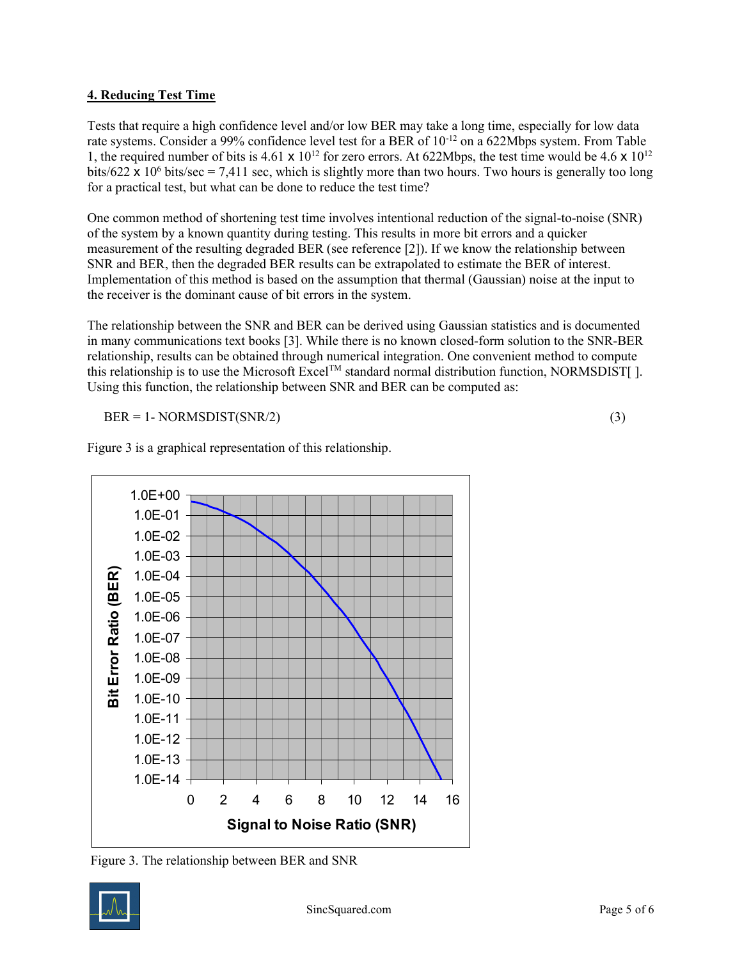#### 4. Reducing Test Time

Tests that require a high confidence level and/or low BER may take a long time, especially for low data rate systems. Consider a 99% confidence level test for a BER of 10-12 on a 622Mbps system. From Table 1, the required number of bits is 4.61 x  $10^{12}$  for zero errors. At 622Mbps, the test time would be 4.6 x  $10^{12}$ bits/622  $\times$  10<sup>6</sup> bits/sec = 7,411 sec, which is slightly more than two hours. Two hours is generally too long for a practical test, but what can be done to reduce the test time?

One common method of shortening test time involves intentional reduction of the signal-to-noise (SNR) of the system by a known quantity during testing. This results in more bit errors and a quicker measurement of the resulting degraded BER (see reference [2]). If we know the relationship between SNR and BER, then the degraded BER results can be extrapolated to estimate the BER of interest. Implementation of this method is based on the assumption that thermal (Gaussian) noise at the input to the receiver is the dominant cause of bit errors in the system.

The relationship between the SNR and BER can be derived using Gaussian statistics and is documented in many communications text books [3]. While there is no known closed-form solution to the SNR-BER relationship, results can be obtained through numerical integration. One convenient method to compute this relationship is to use the Microsoft Excel<sup>TM</sup> standard normal distribution function, NORMSDIST[ ]. Using this function, the relationship between SNR and BER can be computed as:

 $BER = 1 - NORMSDIST(SNR/2)$  (3)



Figure 3 is a graphical representation of this relationship.

Figure 3. The relationship between BER and SNR